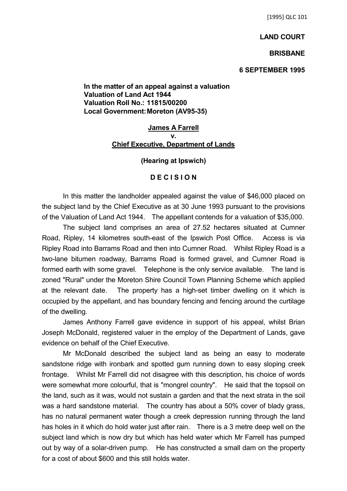# **LAND COURT**

### **BRISBANE**

### **6 SEPTEMBER 1995**

**In the matter of an appeal against a valuation Valuation of Land Act 1944 Valuation Roll No.: 11815/00200 Local Government:Moreton (AV95-35)**

## **James A Farrell v. Chief Executive, Department of Lands**

### **(Hearing at Ipswich)**

# **D E C I S I O N**

In this matter the landholder appealed against the value of \$46,000 placed on the subject land by the Chief Executive as at 30 June 1993 pursuant to the provisions of the Valuation of Land Act 1944. The appellant contends for a valuation of \$35,000.

The subject land comprises an area of 27.52 hectares situated at Cumner Road, Ripley, 14 kilometres south-east of the Ipswich Post Office. Access is via Ripley Road into Barrams Road and then into Cumner Road. Whilst Ripley Road is a two-lane bitumen roadway, Barrams Road is formed gravel, and Cumner Road is formed earth with some gravel. Telephone is the only service available. The land is zoned "Rural" under the Moreton Shire Council Town Planning Scheme which applied at the relevant date. The property has a high-set timber dwelling on it which is occupied by the appellant, and has boundary fencing and fencing around the curtilage of the dwelling.

James Anthony Farrell gave evidence in support of his appeal, whilst Brian Joseph McDonald, registered valuer in the employ of the Department of Lands, gave evidence on behalf of the Chief Executive.

Mr McDonald described the subject land as being an easy to moderate sandstone ridge with ironbark and spotted gum running down to easy sloping creek frontage. Whilst Mr Farrell did not disagree with this description, his choice of words were somewhat more colourful, that is "mongrel country". He said that the topsoil on the land, such as it was, would not sustain a garden and that the next strata in the soil was a hard sandstone material. The country has about a 50% cover of blady grass, has no natural permanent water though a creek depression running through the land has holes in it which do hold water just after rain. There is a 3 metre deep well on the subject land which is now dry but which has held water which Mr Farrell has pumped out by way of a solar-driven pump. He has constructed a small dam on the property for a cost of about \$600 and this still holds water.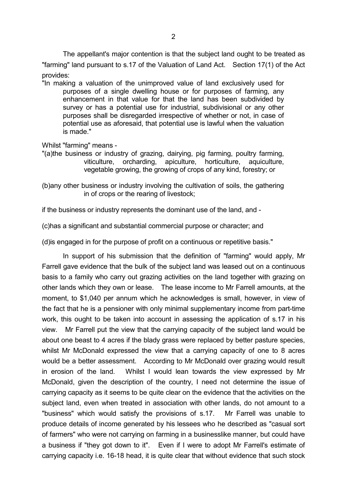The appellant's major contention is that the subject land ought to be treated as "farming" land pursuant to s.17 of the Valuation of Land Act. Section 17(1) of the Act provides:

"In making a valuation of the unimproved value of land exclusively used for purposes of a single dwelling house or for purposes of farming, any enhancement in that value for that the land has been subdivided by survey or has a potential use for industrial, subdivisional or any other purposes shall be disregarded irrespective of whether or not, in case of potential use as aforesaid, that potential use is lawful when the valuation is made."

Whilst "farming" means -

- "(a)the business or industry of grazing, dairying, pig farming, poultry farming, viticulture, orcharding, apiculture, horticulture, aquiculture, vegetable growing, the growing of crops of any kind, forestry; or
- (b)any other business or industry involving the cultivation of soils, the gathering in of crops or the rearing of livestock;

if the business or industry represents the dominant use of the land, and -

(c)has a significant and substantial commercial purpose or character; and

(d)is engaged in for the purpose of profit on a continuous or repetitive basis."

In support of his submission that the definition of "farming" would apply, Mr Farrell gave evidence that the bulk of the subject land was leased out on a continuous basis to a family who carry out grazing activities on the land together with grazing on other lands which they own or lease. The lease income to Mr Farrell amounts, at the moment, to \$1,040 per annum which he acknowledges is small, however, in view of the fact that he is a pensioner with only minimal supplementary income from part-time work, this ought to be taken into account in assessing the application of s.17 in his view. Mr Farrell put the view that the carrying capacity of the subject land would be about one beast to 4 acres if the blady grass were replaced by better pasture species, whilst Mr McDonald expressed the view that a carrying capacity of one to 8 acres would be a better assessment. According to Mr McDonald over grazing would result in erosion of the land. Whilst I would lean towards the view expressed by Mr McDonald, given the description of the country, I need not determine the issue of carrying capacity as it seems to be quite clear on the evidence that the activities on the subject land, even when treated in association with other lands, do not amount to a "business" which would satisfy the provisions of s.17. Mr Farrell was unable to produce details of income generated by his lessees who he described as "casual sort of farmers" who were not carrying on farming in a businesslike manner, but could have a business if "they got down to it". Even if I were to adopt Mr Farrell's estimate of carrying capacity i.e. 16-18 head, it is quite clear that without evidence that such stock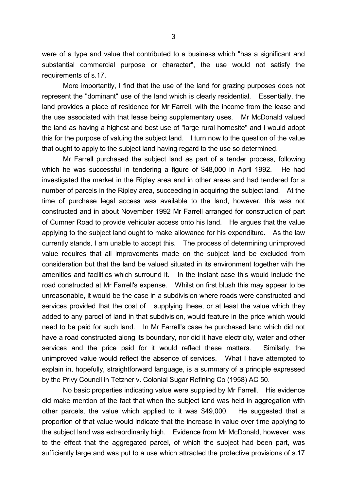were of a type and value that contributed to a business which "has a significant and substantial commercial purpose or character", the use would not satisfy the requirements of s.17.

More importantly, I find that the use of the land for grazing purposes does not represent the "dominant" use of the land which is clearly residential. Essentially, the land provides a place of residence for Mr Farrell, with the income from the lease and the use associated with that lease being supplementary uses. Mr McDonald valued the land as having a highest and best use of "large rural homesite" and I would adopt this for the purpose of valuing the subject land. I turn now to the question of the value that ought to apply to the subject land having regard to the use so determined.

Mr Farrell purchased the subject land as part of a tender process, following which he was successful in tendering a figure of \$48,000 in April 1992. He had investigated the market in the Ripley area and in other areas and had tendered for a number of parcels in the Ripley area, succeeding in acquiring the subject land. At the time of purchase legal access was available to the land, however, this was not constructed and in about November 1992 Mr Farrell arranged for construction of part of Cumner Road to provide vehicular access onto his land. He argues that the value applying to the subject land ought to make allowance for his expenditure. As the law currently stands, I am unable to accept this. The process of determining unimproved value requires that all improvements made on the subject land be excluded from consideration but that the land be valued situated in its environment together with the amenities and facilities which surround it. In the instant case this would include the road constructed at Mr Farrell's expense. Whilst on first blush this may appear to be unreasonable, it would be the case in a subdivision where roads were constructed and services provided that the cost of supplying these, or at least the value which they added to any parcel of land in that subdivision, would feature in the price which would need to be paid for such land. In Mr Farrell's case he purchased land which did not have a road constructed along its boundary, nor did it have electricity, water and other services and the price paid for it would reflect these matters. Similarly, the unimproved value would reflect the absence of services. What I have attempted to explain in, hopefully, straightforward language, is a summary of a principle expressed by the Privy Council in Tetzner v. Colonial Sugar Refining Co (1958) AC 50.

No basic properties indicating value were supplied by Mr Farrell. His evidence did make mention of the fact that when the subject land was held in aggregation with other parcels, the value which applied to it was \$49,000. He suggested that a proportion of that value would indicate that the increase in value over time applying to the subject land was extraordinarily high. Evidence from Mr McDonald, however, was to the effect that the aggregated parcel, of which the subject had been part, was sufficiently large and was put to a use which attracted the protective provisions of s.17